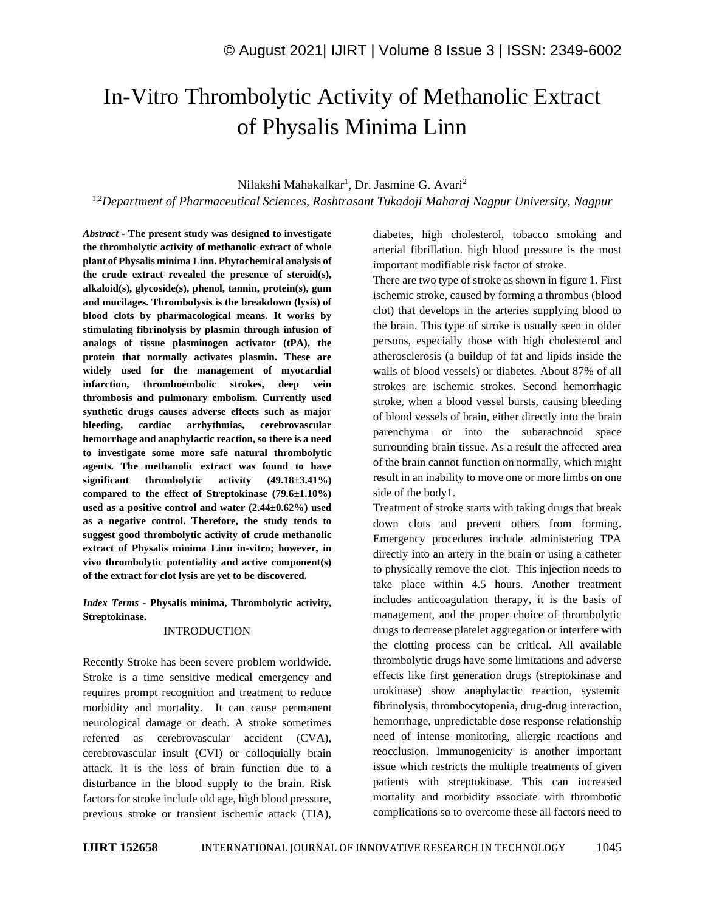# In-Vitro Thrombolytic Activity of Methanolic Extract of Physalis Minima Linn

## Nilakshi Mahakalkar<sup>1</sup>, Dr. Jasmine G. Avari<sup>2</sup>

1,2*Department of Pharmaceutical Sciences, Rashtrasant Tukadoji Maharaj Nagpur University, Nagpur*

*Abstract -* **The present study was designed to investigate the thrombolytic activity of methanolic extract of whole plant of Physalis minima Linn. Phytochemical analysis of the crude extract revealed the presence of steroid(s), alkaloid(s), glycoside(s), phenol, tannin, protein(s), gum and mucilages. Thrombolysis is the breakdown (lysis) of blood clots by pharmacological means. It works by stimulating fibrinolysis by plasmin through infusion of analogs of tissue plasminogen activator (tPA), the protein that normally activates plasmin. These are widely used for the management of myocardial infarction, thromboembolic strokes, deep vein thrombosis and pulmonary embolism. Currently used synthetic drugs causes adverse effects such as major bleeding, cardiac arrhythmias, cerebrovascular hemorrhage and anaphylactic reaction, so there is a need to investigate some more safe natural thrombolytic agents. The methanolic extract was found to have significant thrombolytic activity (49.18±3.41%) compared to the effect of Streptokinase (79.6±1.10%) used as a positive control and water (2.44±0.62%) used as a negative control. Therefore, the study tends to suggest good thrombolytic activity of crude methanolic extract of Physalis minima Linn in-vitro; however, in vivo thrombolytic potentiality and active component(s) of the extract for clot lysis are yet to be discovered.**

*Index Terms -* **Physalis minima, Thrombolytic activity, Streptokinase.**

#### INTRODUCTION

Recently Stroke has been severe problem worldwide. Stroke is a time sensitive medical emergency and requires prompt recognition and treatment to reduce morbidity and mortality. It can cause permanent neurological damage or death. A stroke sometimes referred as cerebrovascular accident (CVA), cerebrovascular insult (CVI) or colloquially brain attack. It is the loss of brain function due to a disturbance in the blood supply to the brain. Risk factors for stroke include old age, high blood pressure, previous stroke or transient ischemic attack (TIA), diabetes, high cholesterol, tobacco smoking and arterial fibrillation. high blood pressure is the most important modifiable risk factor of stroke.

There are two type of stroke as shown in figure 1. First ischemic stroke, caused by forming a thrombus (blood clot) that develops in the arteries supplying blood to the brain. This type of stroke is usually seen in older persons, especially those with high cholesterol and atherosclerosis (a buildup of fat and lipids inside the walls of blood vessels) or diabetes. About 87% of all strokes are ischemic strokes. Second hemorrhagic stroke, when a blood vessel bursts, causing bleeding of blood vessels of brain, either directly into the brain parenchyma or into the subarachnoid space surrounding brain tissue. As a result the affected area of the brain cannot function on normally, which might result in an inability to move one or more limbs on one side of the body1.

Treatment of stroke starts with taking drugs that break down clots and prevent others from forming. Emergency procedures include administering TPA directly into an artery in the brain or using a catheter to physically remove the clot. This injection needs to take place within 4.5 hours. Another treatment includes anticoagulation therapy, it is the basis of management, and the proper choice of thrombolytic drugs to decrease platelet aggregation or interfere with the clotting process can be critical. All available thrombolytic drugs have some limitations and adverse effects like first generation drugs (streptokinase and urokinase) show anaphylactic reaction, systemic fibrinolysis, thrombocytopenia, drug-drug interaction, hemorrhage, unpredictable dose response relationship need of intense monitoring, allergic reactions and reocclusion. Immunogenicity is another important issue which restricts the multiple treatments of given patients with streptokinase. This can increased mortality and morbidity associate with thrombotic complications so to overcome these all factors need to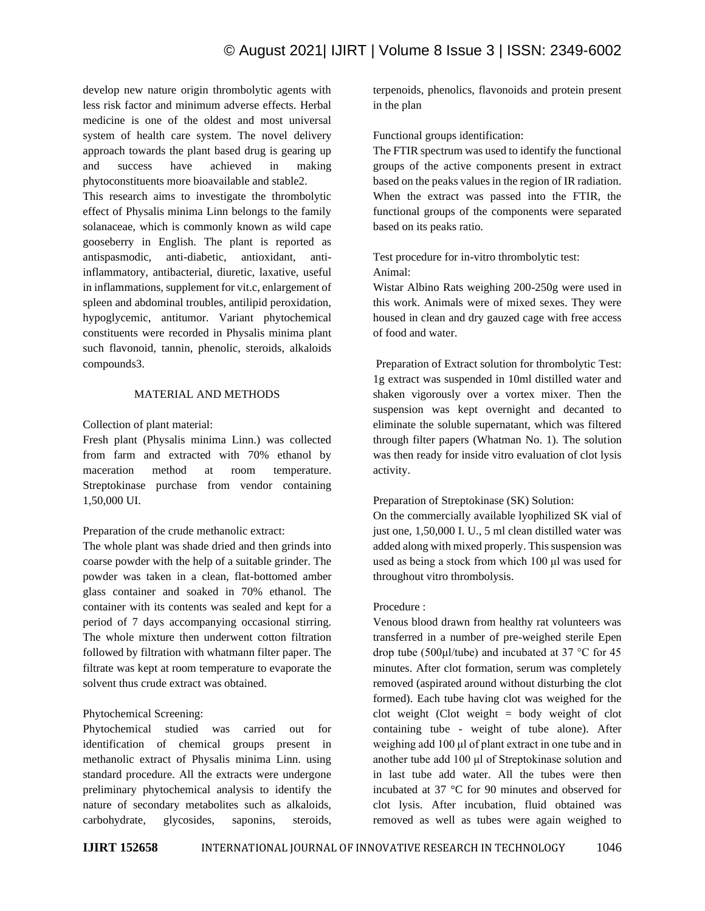develop new nature origin thrombolytic agents with less risk factor and minimum adverse effects. Herbal medicine is one of the oldest and most universal system of health care system. The novel delivery approach towards the plant based drug is gearing up and success have achieved in making phytoconstituents more bioavailable and stable2.

This research aims to investigate the thrombolytic effect of Physalis minima Linn belongs to the family solanaceae, which is commonly known as wild cape gooseberry in English. The plant is reported as antispasmodic, anti-diabetic, antioxidant, antiinflammatory, antibacterial, diuretic, laxative, useful in inflammations, supplement for vit.c, enlargement of spleen and abdominal troubles, antilipid peroxidation, hypoglycemic, antitumor. Variant phytochemical constituents were recorded in Physalis minima plant such flavonoid, tannin, phenolic, steroids, alkaloids compounds3.

# MATERIAL AND METHODS

Collection of plant material:

Fresh plant (Physalis minima Linn.) was collected from farm and extracted with 70% ethanol by maceration method at room temperature. Streptokinase purchase from vendor containing 1,50,000 UI.

Preparation of the crude methanolic extract:

The whole plant was shade dried and then grinds into coarse powder with the help of a suitable grinder. The powder was taken in a clean, flat-bottomed amber glass container and soaked in 70% ethanol. The container with its contents was sealed and kept for a period of 7 days accompanying occasional stirring. The whole mixture then underwent cotton filtration followed by filtration with whatmann filter paper. The filtrate was kept at room temperature to evaporate the solvent thus crude extract was obtained.

# Phytochemical Screening:

Phytochemical studied was carried out for identification of chemical groups present in methanolic extract of Physalis minima Linn. using standard procedure. All the extracts were undergone preliminary phytochemical analysis to identify the nature of secondary metabolites such as alkaloids, carbohydrate, glycosides, saponins, steroids, terpenoids, phenolics, flavonoids and protein present in the plan

Functional groups identification:

The FTIR spectrum was used to identify the functional groups of the active components present in extract based on the peaks values in the region of IR radiation. When the extract was passed into the FTIR, the functional groups of the components were separated based on its peaks ratio.

Test procedure for in-vitro thrombolytic test: Animal:

Wistar Albino Rats weighing 200-250g were used in this work. Animals were of mixed sexes. They were housed in clean and dry gauzed cage with free access of food and water.

Preparation of Extract solution for thrombolytic Test: 1g extract was suspended in 10ml distilled water and shaken vigorously over a vortex mixer. Then the suspension was kept overnight and decanted to eliminate the soluble supernatant, which was filtered through filter papers (Whatman No. 1). The solution was then ready for inside vitro evaluation of clot lysis activity.

# Preparation of Streptokinase (SK) Solution:

On the commercially available lyophilized SK vial of just one, 1,50,000 I. U., 5 ml clean distilled water was added along with mixed properly. This suspension was used as being a stock from which 100 μl was used for throughout vitro thrombolysis.

# Procedure :

Venous blood drawn from healthy rat volunteers was transferred in a number of pre-weighed sterile Epen drop tube (500μl/tube) and incubated at 37 °C for 45 minutes. After clot formation, serum was completely removed (aspirated around without disturbing the clot formed). Each tube having clot was weighed for the clot weight (Clot weight  $=$  body weight of clot containing tube - weight of tube alone). After weighing add 100 μl of plant extract in one tube and in another tube add 100 μl of Streptokinase solution and in last tube add water. All the tubes were then incubated at 37 °C for 90 minutes and observed for clot lysis. After incubation, fluid obtained was removed as well as tubes were again weighed to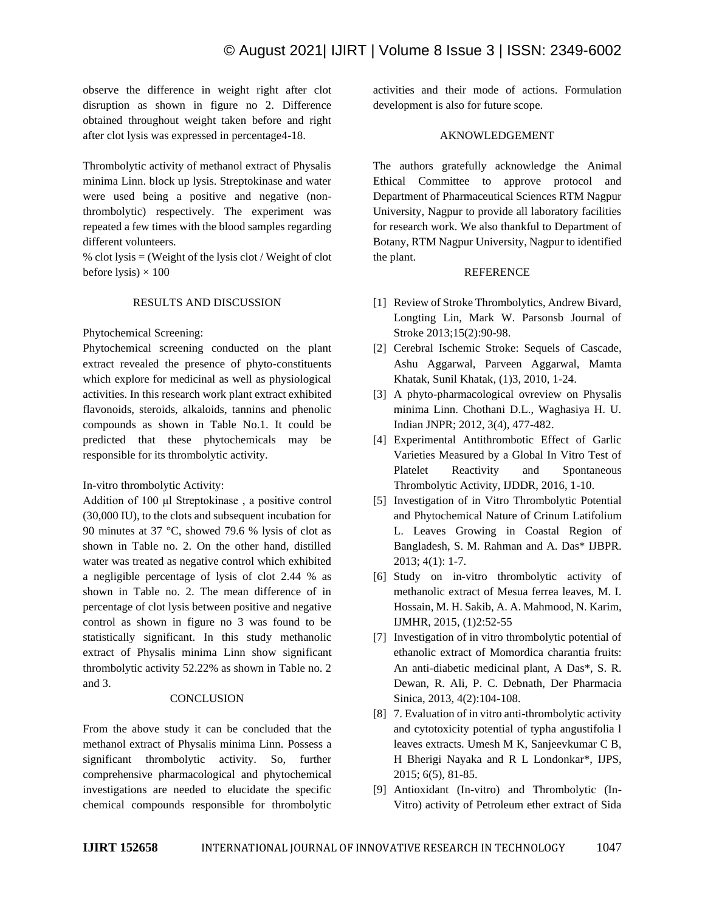observe the difference in weight right after clot disruption as shown in figure no 2. Difference obtained throughout weight taken before and right after clot lysis was expressed in percentage4-18.

Thrombolytic activity of methanol extract of Physalis minima Linn. block up lysis. Streptokinase and water were used being a positive and negative (nonthrombolytic) respectively. The experiment was repeated a few times with the blood samples regarding different volunteers.

% clot lysis  $=$  (Weight of the lysis clot / Weight of clot before lysis)  $\times$  100

#### RESULTS AND DISCUSSION

Phytochemical Screening:

Phytochemical screening conducted on the plant extract revealed the presence of phyto-constituents which explore for medicinal as well as physiological activities. In this research work plant extract exhibited flavonoids, steroids, alkaloids, tannins and phenolic compounds as shown in Table No.1. It could be predicted that these phytochemicals may be responsible for its thrombolytic activity.

In-vitro thrombolytic Activity:

Addition of 100 μl Streptokinase , a positive control (30,000 IU), to the clots and subsequent incubation for 90 minutes at 37 °C, showed 79.6 % lysis of clot as shown in Table no. 2. On the other hand, distilled water was treated as negative control which exhibited a negligible percentage of lysis of clot 2.44 % as shown in Table no. 2. The mean difference of in percentage of clot lysis between positive and negative control as shown in figure no 3 was found to be statistically significant. In this study methanolic extract of Physalis minima Linn show significant thrombolytic activity 52.22% as shown in Table no. 2 and 3.

## **CONCLUSION**

From the above study it can be concluded that the methanol extract of Physalis minima Linn. Possess a significant thrombolytic activity. So, further comprehensive pharmacological and phytochemical investigations are needed to elucidate the specific chemical compounds responsible for thrombolytic activities and their mode of actions. Formulation development is also for future scope.

#### AKNOWLEDGEMENT

The authors gratefully acknowledge the Animal Ethical Committee to approve protocol and Department of Pharmaceutical Sciences RTM Nagpur University, Nagpur to provide all laboratory facilities for research work. We also thankful to Department of Botany, RTM Nagpur University, Nagpur to identified the plant.

#### **REFERENCE**

- [1] Review of Stroke Thrombolytics, Andrew Bivard, Longting Lin, Mark W. Parsonsb Journal of Stroke 2013;15(2):90-98.
- [2] Cerebral Ischemic Stroke: Sequels of Cascade, Ashu Aggarwal, Parveen Aggarwal, Mamta Khatak, Sunil Khatak, (1)3, 2010, 1-24.
- [3] A phyto-pharmacological ovreview on Physalis minima Linn. Chothani D.L., Waghasiya H. U. Indian JNPR; 2012, 3(4), 477-482.
- [4] Experimental Antithrombotic Effect of Garlic Varieties Measured by a Global In Vitro Test of Platelet Reactivity and Spontaneous Thrombolytic Activity, IJDDR, 2016, 1-10.
- [5] Investigation of in Vitro Thrombolytic Potential and Phytochemical Nature of Crinum Latifolium L. Leaves Growing in Coastal Region of Bangladesh, S. M. Rahman and A. Das\* IJBPR. 2013; 4(1): 1-7.
- [6] Study on in-vitro thrombolytic activity of methanolic extract of Mesua ferrea leaves, M. I. Hossain, M. H. Sakib, A. A. Mahmood, N. Karim, IJMHR, 2015, (1)2:52-55
- [7] Investigation of in vitro thrombolytic potential of ethanolic extract of Momordica charantia fruits: An anti-diabetic medicinal plant, A Das\*, S. R. Dewan, R. Ali, P. C. Debnath, Der Pharmacia Sinica, 2013, 4(2):104-108.
- [8] 7. Evaluation of in vitro anti-thrombolytic activity and cytotoxicity potential of typha angustifolia l leaves extracts. Umesh M K, Sanjeevkumar C B, H Bherigi Nayaka and R L Londonkar\*, IJPS, 2015; 6(5), 81-85.
- [9] Antioxidant (In-vitro) and Thrombolytic (In-Vitro) activity of Petroleum ether extract of Sida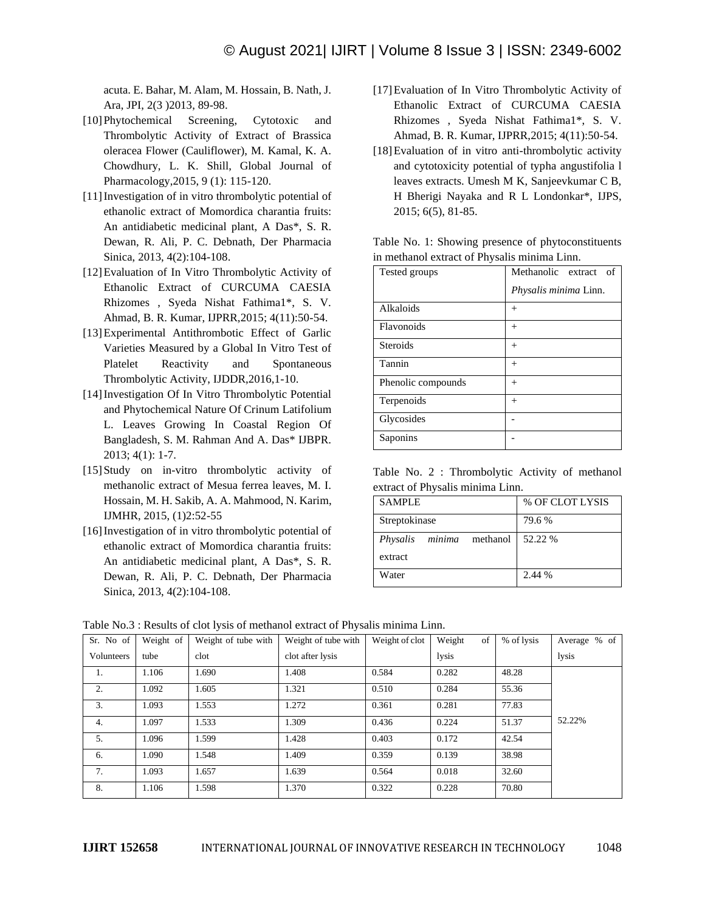acuta. E. Bahar, M. Alam, M. Hossain, B. Nath, J. Ara, JPI, 2(3 )2013, 89-98.

- [10]Phytochemical Screening, Cytotoxic and Thrombolytic Activity of Extract of Brassica oleracea Flower (Cauliflower), M. Kamal, K. A. Chowdhury, L. K. Shill, Global Journal of Pharmacology,2015, 9 (1): 115-120.
- [11]Investigation of in vitro thrombolytic potential of ethanolic extract of Momordica charantia fruits: An antidiabetic medicinal plant, A Das\*, S. R. Dewan, R. Ali, P. C. Debnath, Der Pharmacia Sinica, 2013, 4(2):104-108.
- [12]Evaluation of In Vitro Thrombolytic Activity of Ethanolic Extract of CURCUMA CAESIA Rhizomes , Syeda Nishat Fathima1\*, S. V. Ahmad, B. R. Kumar, IJPRR,2015; 4(11):50-54.
- [13]Experimental Antithrombotic Effect of Garlic Varieties Measured by a Global In Vitro Test of Platelet Reactivity and Spontaneous Thrombolytic Activity, IJDDR,2016,1-10.
- [14] Investigation Of In Vitro Thrombolytic Potential and Phytochemical Nature Of Crinum Latifolium L. Leaves Growing In Coastal Region Of Bangladesh, S. M. Rahman And A. Das\* IJBPR. 2013; 4(1): 1-7.
- [15]Study on in-vitro thrombolytic activity of methanolic extract of Mesua ferrea leaves, M. I. Hossain, M. H. Sakib, A. A. Mahmood, N. Karim, IJMHR, 2015, (1)2:52-55
- [16] Investigation of in vitro thrombolytic potential of ethanolic extract of Momordica charantia fruits: An antidiabetic medicinal plant, A Das\*, S. R. Dewan, R. Ali, P. C. Debnath, Der Pharmacia Sinica, 2013, 4(2):104-108.
- [17]Evaluation of In Vitro Thrombolytic Activity of Ethanolic Extract of CURCUMA CAESIA Rhizomes , Syeda Nishat Fathima1\*, S. V. Ahmad, B. R. Kumar, IJPRR,2015; 4(11):50-54.
- [18]Evaluation of in vitro anti-thrombolytic activity and cytotoxicity potential of typha angustifolia l leaves extracts. Umesh M K, Sanjeevkumar C B, H Bherigi Nayaka and R L Londonkar\*, IJPS, 2015; 6(5), 81-85.

| Table No. 1: Showing presence of phytoconstituents |  |  |  |  |  |
|----------------------------------------------------|--|--|--|--|--|
| in methanol extract of Physalis minima Linn.       |  |  |  |  |  |

| Tested groups      | Methanolic extract<br>of<br>Physalis minima Linn. |  |  |  |  |
|--------------------|---------------------------------------------------|--|--|--|--|
| Alkaloids          | $^{+}$                                            |  |  |  |  |
| Flavonoids         | $^{+}$                                            |  |  |  |  |
| <b>Steroids</b>    | $^{+}$                                            |  |  |  |  |
| Tannin             | $^{+}$                                            |  |  |  |  |
| Phenolic compounds | $^{+}$                                            |  |  |  |  |
| Terpenoids         | $^{+}$                                            |  |  |  |  |
| Glycosides         |                                                   |  |  |  |  |
| Saponins           |                                                   |  |  |  |  |

Table No. 2 : Thrombolytic Activity of methanol extract of Physalis minima Linn.

| <b>SAMPLE</b>                      | % OF CLOT LYSIS |  |  |  |
|------------------------------------|-----------------|--|--|--|
| Streptokinase                      | 79.6 %          |  |  |  |
| Physalis<br><i>minima</i> methanol | 52.22 %         |  |  |  |
| extract                            |                 |  |  |  |
| Water                              | 2.44 %          |  |  |  |

| Sr. No of  | Weight of | Weight of tube with | Weight of tube with | Weight of clot | Weight<br>of | % of lysis | Average % of |
|------------|-----------|---------------------|---------------------|----------------|--------------|------------|--------------|
| Volunteers | tube      | clot                | clot after lysis    |                | lysis        |            | lysis        |
| 1.         | 1.106     | 1.690               | 1.408               | 0.584          | 0.282        | 48.28      |              |
| 2.         | 1.092     | 1.605               | 1.321               | 0.510          | 0.284        | 55.36      |              |
| 3.         | 1.093     | 1.553               | 1.272               | 0.361          | 0.281        | 77.83      |              |
| 4.         | 1.097     | 1.533               | 1.309               | 0.436          | 0.224        | 51.37      | 52.22%       |
| 5.         | 1.096     | 1.599               | 1.428               | 0.403          | 0.172        | 42.54      |              |
| 6.         | 1.090     | 1.548               | 1.409               | 0.359          | 0.139        | 38.98      |              |
| 7.         | 1.093     | 1.657               | 1.639               | 0.564          | 0.018        | 32.60      |              |
| 8.         | 1.106     | 1.598               | 1.370               | 0.322          | 0.228        | 70.80      |              |

Table No.3 : Results of clot lysis of methanol extract of Physalis minima Linn.